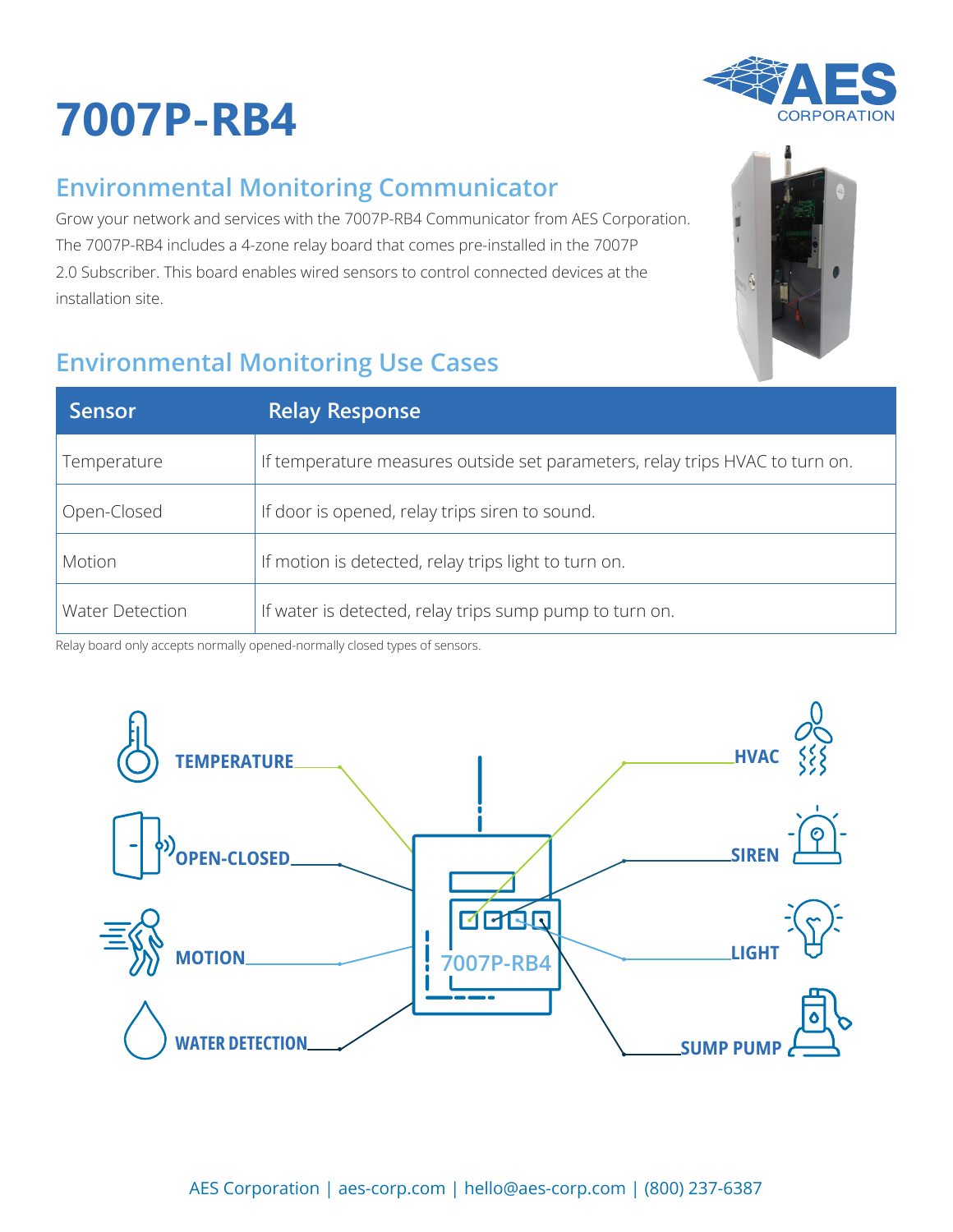## **7007P-RB4**



|  | <b>Environmental Monitoring Communicator</b> |
|--|----------------------------------------------|
|  |                                              |

Grow your network and services with the 7007P-RB4 Communicator from AES Corporation. The 7007P-RB4 includes a 4-zone relay board that comes pre-installed in the 7007P 2.0 Subscriber. This board enables wired sensors to control connected devices at the installation site.

## **Environmental Monitoring Use Cases**

| <b>Sensor</b>          | <b>Relay Response</b>                                                        |
|------------------------|------------------------------------------------------------------------------|
| Temperature            | If temperature measures outside set parameters, relay trips HVAC to turn on. |
| Open-Closed            | If door is opened, relay trips siren to sound.                               |
| Motion                 | If motion is detected, relay trips light to turn on.                         |
| <b>Water Detection</b> | If water is detected, relay trips sump pump to turn on.                      |

Relay board only accepts normally opened-normally closed types of sensors.